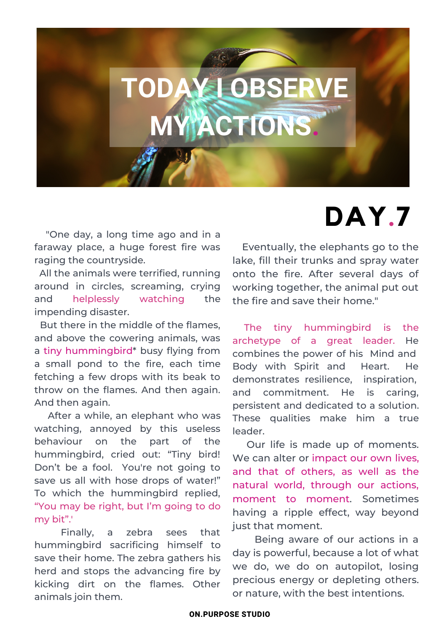

"One day, a long time ago and in a faraway place, a huge forest fire was raging the countryside.

All the animals were terrified, running around in circles, screaming, crying and helplessly watching the impending disaster.

But there in the middle of the flames, and above the cowering animals, was a tiny hummingbird\* busy flying from a small pond to the fire, each time fetching a few drops with its beak to throw on the flames. And then again. And then again.

After a while, an elephant who was watching, annoyed by this useless behaviour on the part of the hummingbird, cried out: "Tiny bird! Don't be a fool. You're not going to save us all with hose drops of water!" To which the hummingbird replied, "You may be right, but I'm going to do my bit".'

Finally, a zebra sees that hummingbird sacrificing himself to save their home. The zebra gathers his herd and stops the advancing fire by kicking dirt on the flames. Other animals join them.

# **DAY.7**

Eventually, the elephants go to the lake, fill their trunks and spray water onto the fire. After several days of working together, the animal put out the fire and save their home."

The tiny hummingbird is the archetype of a great leader. He combines the power of his Mind and Body with Spirit and Heart. He demonstrates resilience, inspiration, and commitment. He is caring, persistent and dedicated to a solution. These qualities make him a true leader.

Our life is made up of moments. We can alter or impact our own lives, and that of others, as well as the natural world, through our actions, moment to moment. Sometimes having a ripple effect, way beyond just that moment.

Being aware of our actions in a day is powerful, because a lot of what we do, we do on autopilot, losing precious energy or depleting others. or nature, with the best intentions.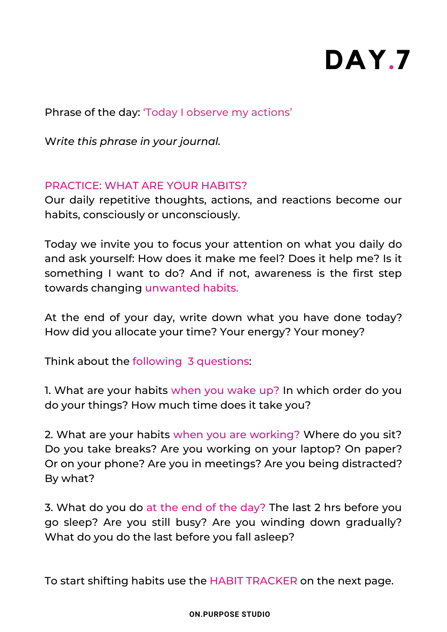# **DAY.7**

Phrase of the day: 'Today I observe my actions'

W*rite this phrase in your journal.*

#### PRACTICE: WHAT ARE YOUR HABITS?

Our daily repetitive thoughts, actions, and reactions become our habits, consciously or unconsciously.

Today we invite you to focus your attention on what you daily do and ask yourself: How does it make me feel? Does it help me? Is it something I want to do? And if not, awareness is the first step towards changing unwanted habits.

At the end of your day, write down what you have done today? How did you allocate your time? Your energy? Your money?

Think about the following 3 questions:

1. What are your habits when you wake up? In which order do you do your things? How much time does it take you?

2. What are your habits when you are working? Where do you sit? Do you take breaks? Are you working on your laptop? On paper? Or on your phone? Are you in meetings? Are you being distracted? By what?

3. What do you do at the end of the day? The last 2 hrs before you go sleep? Are you still busy? Are you winding down gradually? What do you do the last before you fall asleep?

To start shifting habits use the HABIT TRACKER on the next page.